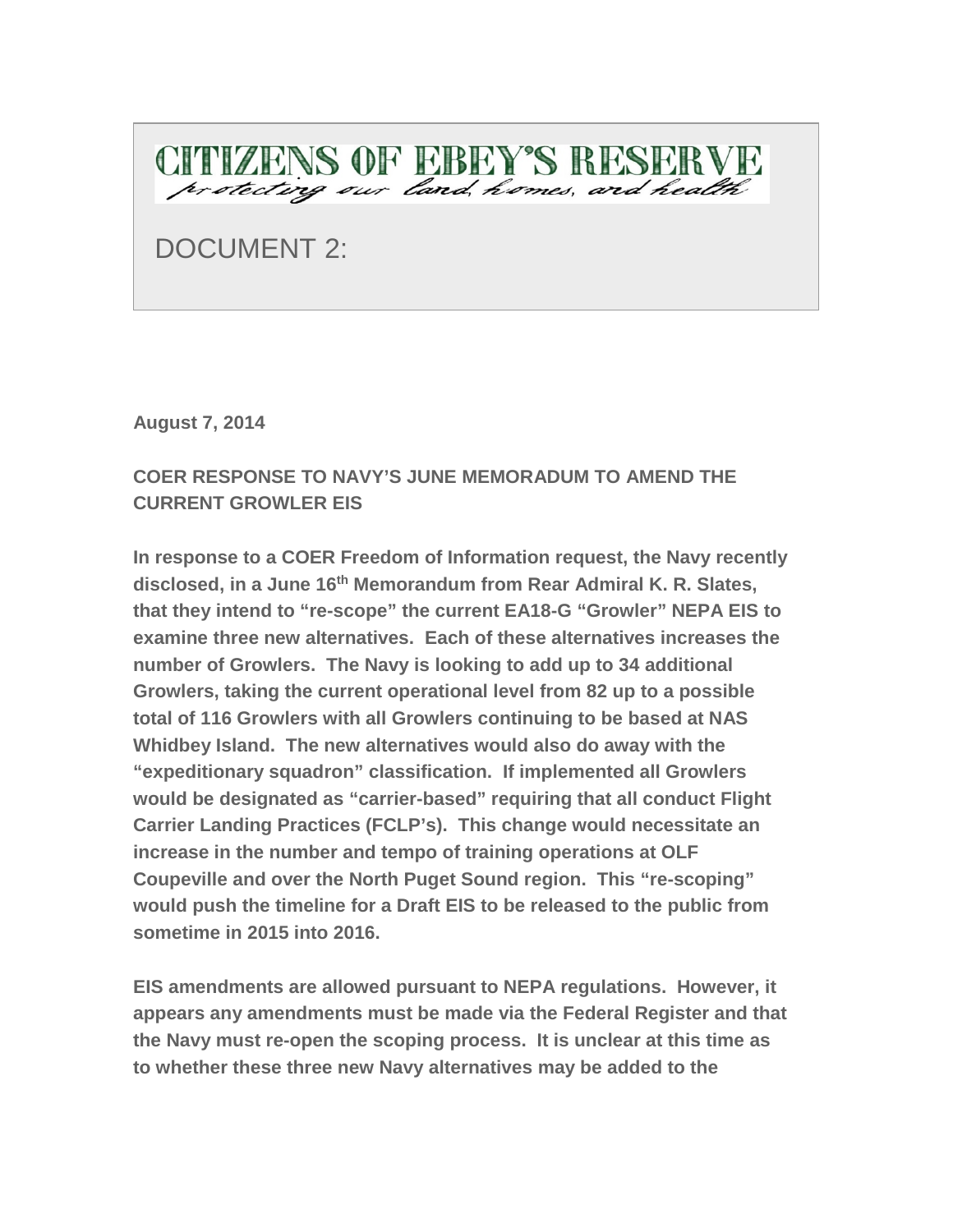

DOCUMENT 2:

**August 7, 2014**

## **COER RESPONSE TO NAVY'S JUNE MEMORADUM TO AMEND THE CURRENT GROWLER EIS**

**In response to a COER Freedom of Information request, the Navy recently disclosed, in a June 16th Memorandum from Rear Admiral K. R. Slates, that they intend to "re-scope" the current EA18-G "Growler" NEPA EIS to examine three new alternatives. Each of these alternatives increases the number of Growlers. The Navy is looking to add up to 34 additional Growlers, taking the current operational level from 82 up to a possible total of 116 Growlers with all Growlers continuing to be based at NAS Whidbey Island. The new alternatives would also do away with the "expeditionary squadron" classification. If implemented all Growlers would be designated as "carrier-based" requiring that all conduct Flight Carrier Landing Practices (FCLP's). This change would necessitate an increase in the number and tempo of training operations at OLF Coupeville and over the North Puget Sound region. This "re-scoping" would push the timeline for a Draft EIS to be released to the public from sometime in 2015 into 2016.**

**EIS amendments are allowed pursuant to NEPA regulations. However, it appears any amendments must be made via the Federal Register and that the Navy must re-open the scoping process. It is unclear at this time as to whether these three new Navy alternatives may be added to the**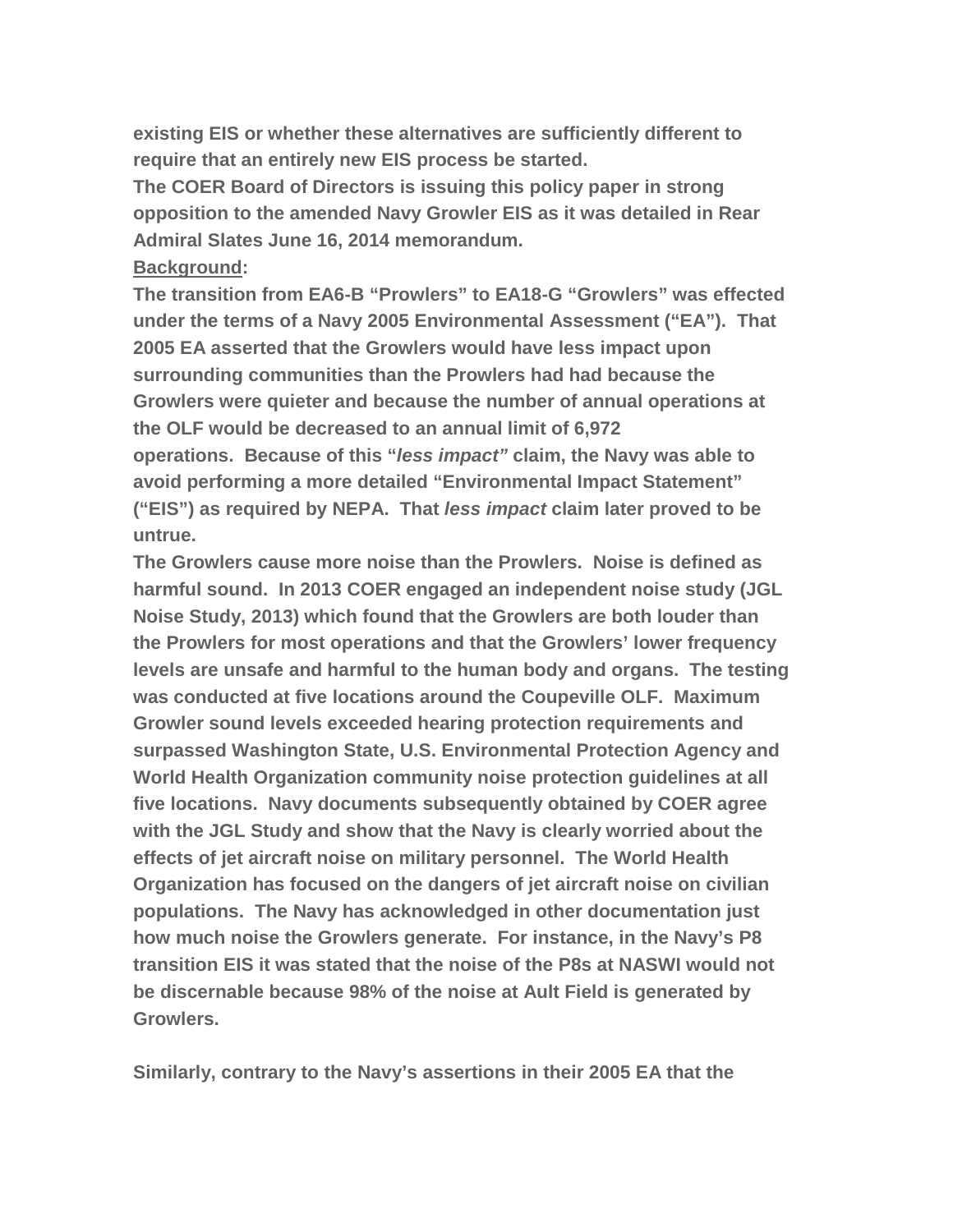**existing EIS or whether these alternatives are sufficiently different to require that an entirely new EIS process be started.**

**The COER Board of Directors is issuing this policy paper in strong opposition to the amended Navy Growler EIS as it was detailed in Rear Admiral Slates June 16, 2014 memorandum.**

## **Background:**

**The transition from EA6-B "Prowlers" to EA18-G "Growlers" was effected under the terms of a Navy 2005 Environmental Assessment ("EA"). That 2005 EA asserted that the Growlers would have less impact upon surrounding communities than the Prowlers had had because the Growlers were quieter and because the number of annual operations at the OLF would be decreased to an annual limit of 6,972 operations. Because of this "***less impact"* **claim, the Navy was able to avoid performing a more detailed "Environmental Impact Statement" ("EIS") as required by NEPA. That** *less impact* **claim later proved to be untrue.**

**The Growlers cause more noise than the Prowlers. Noise is defined as harmful sound. In 2013 COER engaged an independent noise study (JGL Noise Study, 2013) which found that the Growlers are both louder than the Prowlers for most operations and that the Growlers' lower frequency levels are unsafe and harmful to the human body and organs. The testing was conducted at five locations around the Coupeville OLF. Maximum Growler sound levels exceeded hearing protection requirements and surpassed Washington State, U.S. Environmental Protection Agency and World Health Organization community noise protection guidelines at all five locations. Navy documents subsequently obtained by COER agree with the JGL Study and show that the Navy is clearly worried about the effects of jet aircraft noise on military personnel. The World Health Organization has focused on the dangers of jet aircraft noise on civilian populations. The Navy has acknowledged in other documentation just how much noise the Growlers generate. For instance, in the Navy's P8 transition EIS it was stated that the noise of the P8s at NASWI would not be discernable because 98% of the noise at Ault Field is generated by Growlers.**

**Similarly, contrary to the Navy's assertions in their 2005 EA that the**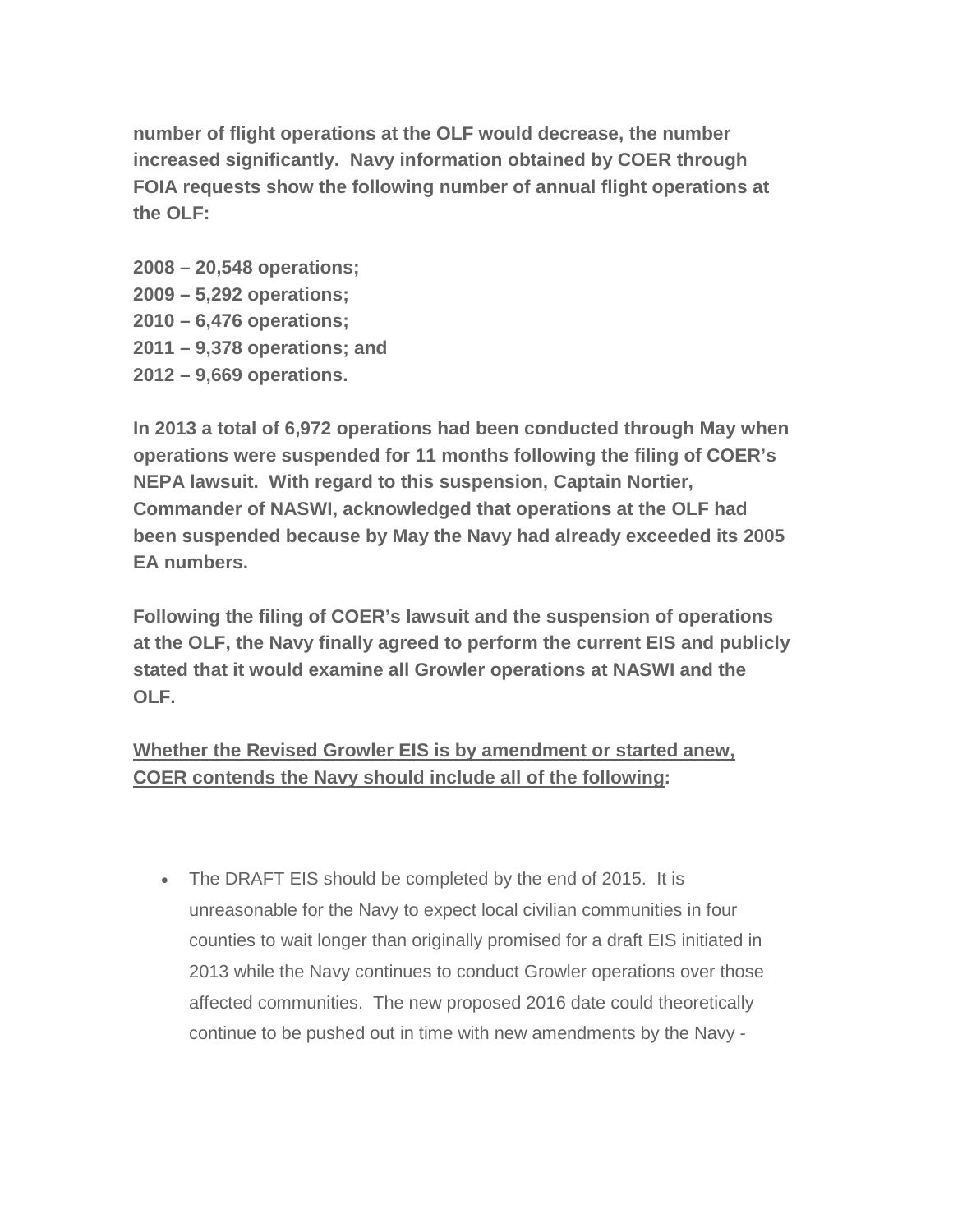**number of flight operations at the OLF would decrease, the number increased significantly. Navy information obtained by COER through FOIA requests show the following number of annual flight operations at the OLF:**

**2008 – 20,548 operations; 2009 – 5,292 operations; 2010 – 6,476 operations; 2011 – 9,378 operations; and 2012 – 9,669 operations.**

**In 2013 a total of 6,972 operations had been conducted through May when operations were suspended for 11 months following the filing of COER's NEPA lawsuit. With regard to this suspension, Captain Nortier, Commander of NASWI, acknowledged that operations at the OLF had been suspended because by May the Navy had already exceeded its 2005 EA numbers.**

**Following the filing of COER's lawsuit and the suspension of operations at the OLF, the Navy finally agreed to perform the current EIS and publicly stated that it would examine all Growler operations at NASWI and the OLF.**

## **Whether the Revised Growler EIS is by amendment or started anew, COER contends the Navy should include all of the following:**

• The DRAFT EIS should be completed by the end of 2015. It is unreasonable for the Navy to expect local civilian communities in four counties to wait longer than originally promised for a draft EIS initiated in 2013 while the Navy continues to conduct Growler operations over those affected communities. The new proposed 2016 date could theoretically continue to be pushed out in time with new amendments by the Navy -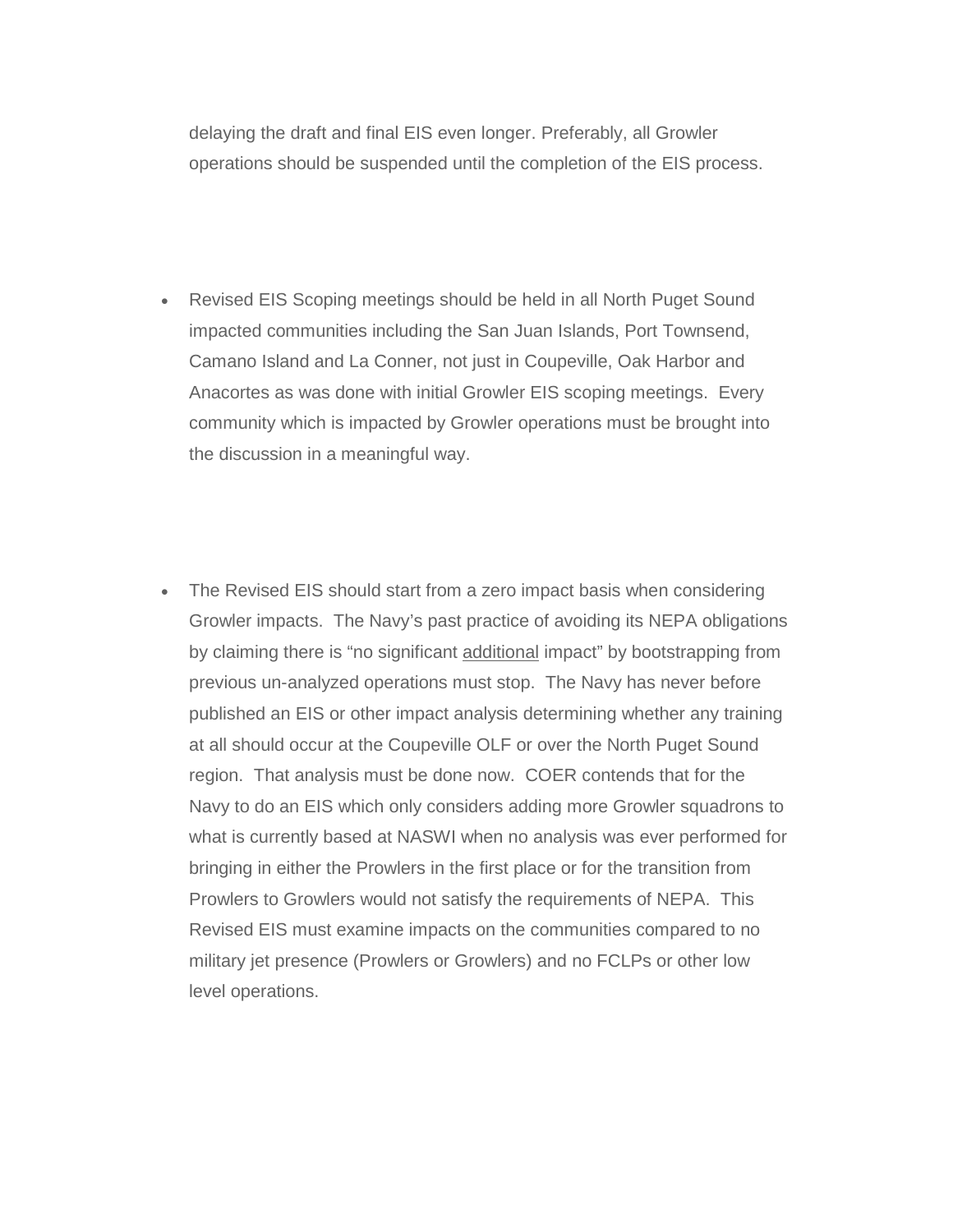delaying the draft and final EIS even longer. Preferably, all Growler operations should be suspended until the completion of the EIS process.

- Revised EIS Scoping meetings should be held in all North Puget Sound impacted communities including the San Juan Islands, Port Townsend, Camano Island and La Conner, not just in Coupeville, Oak Harbor and Anacortes as was done with initial Growler EIS scoping meetings. Every community which is impacted by Growler operations must be brought into the discussion in a meaningful way.
- The Revised EIS should start from a zero impact basis when considering Growler impacts. The Navy's past practice of avoiding its NEPA obligations by claiming there is "no significant additional impact" by bootstrapping from previous un-analyzed operations must stop. The Navy has never before published an EIS or other impact analysis determining whether any training at all should occur at the Coupeville OLF or over the North Puget Sound region. That analysis must be done now. COER contends that for the Navy to do an EIS which only considers adding more Growler squadrons to what is currently based at NASWI when no analysis was ever performed for bringing in either the Prowlers in the first place or for the transition from Prowlers to Growlers would not satisfy the requirements of NEPA. This Revised EIS must examine impacts on the communities compared to no military jet presence (Prowlers or Growlers) and no FCLPs or other low level operations.